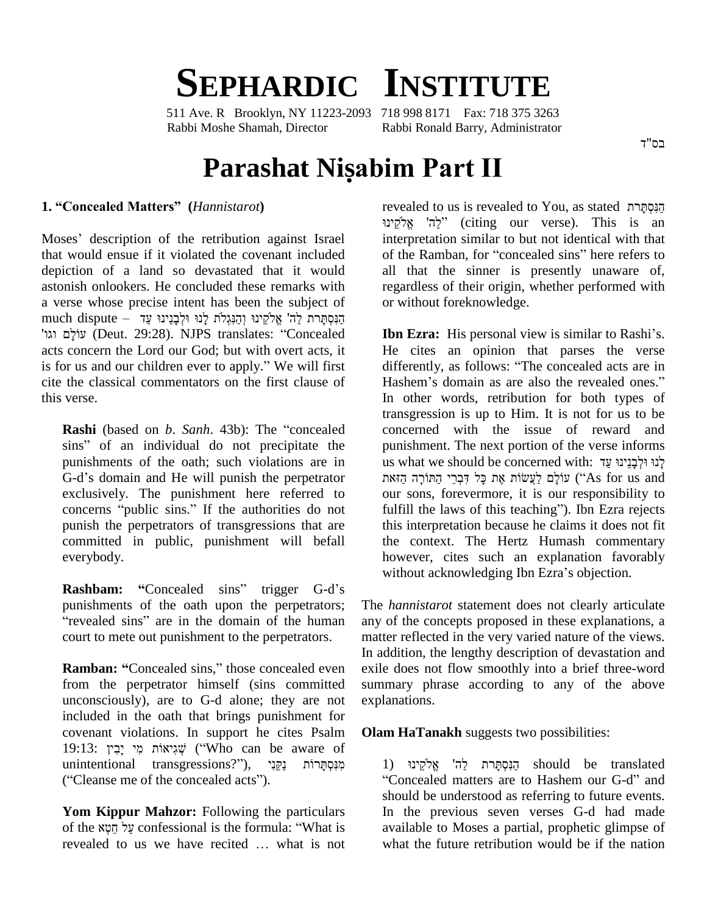# **SEPHARDIC INSTITUTE**

511 Ave. R Brooklyn, NY 11223-2093 718 998 8171 Fax: 718 375 3263 Rabbi Moshe Shamah, Director Rabbi Ronald Barry, Administrator

# **Parashat Nisabim Part II**

## **1. ìConcealed Mattersî (***Hannistarot***)**

Moses' description of the retribution against Israel that would ensue if it violated the covenant included depiction of a land so devastated that it would astonish onlookers. He concluded these remarks with reg<br>a verse whose precise intent has been the subject of or<br>הַנִּסְתָּרת לַה' אֱלֹקֵינוּ וְהַנִּגְלֹת לְנוּ וּלְבָנֵינוּ עַד a verse whose precise intent has been the subject of ć erse whose precise intent has been the subject of<br>
יהוּפְתָּרת לַה' אֱלֹקֵינוּ וְהַנְגְלֹת לְנוּ וּלְבְנֵינוּ עַד<br>הַנִּסְתָּרת לַה' אֱלֹקֵינוּ וְהַנִּגְלֹת לְנוּ וּלְבָנֵינוּ עַד (Deut. 29:28). NJPS translates: "Concea acts concern the Lord our God; but with overt acts, it is for us and our children ever to apply.<sup>î</sup> We will first cite the classical commentators on the first clause of this verse.

**Rashi** (based on *b. Sanh.* 43b): The "concealed" sins" of an individual do not precipitate the punishments of the oath; such violations are in sins" of an individual do not precipitate the<br>punishments of the oath; such violations are in<br>G-d's domain and He will punish the perpetrator exclusively. The punishment here referred to G-d's domain and He will punish the perpetrator exclusively. The punishment here referred to concerns "public sins." If the authorities do not punish the perpetrators of transgressions that are committed in public, punishment will befall everybody.

punishments of the oath upon the perpetrators; "revealed sins" are in the domain of the human court to mete out punishment to the perpetrators.

**Ramban:** "Concealed sins," those concealed even from the perpetrator himself (sins committed unconsciously), are to G-d alone; they are not included in the oath that brings punishment for covenant violations. In support he cites Psalm included in the oath that brings punishment for<br>
19:13: יְבִין יִבְל ('Who can be aware of covenant violations. In support he cites Psalm **Ol**a<br>19:13: מְיָכָין ("Who can be aware of unintentional transgressions?"), מַּנְסְתָּרוֹת בַּקֵּנִי 19:13: יָבִין יִבְיִן ("Who can be a<br>unintentional transgressions?"), נַקֵּנִי<br>("Cleanse me of the concealed acts").

**Yom Kippur Mahzor:** Following the particulars of **Kippur Mahzor:** Following the particulars<br>1 of the מָטְא confessional is the formula: "What is **Yom Kippur Mahzor:** Following the particulars of the *x*<br> *i* confessional is the formula: "What is revealed to us we have recited ... what is not

revealed to us is revealed to You, as stated הַנְּסְתַּרת revealed to us is revealed to You, as stated הַנִּסְתָּרת citing our verse). This is an<br>interpretation similar to but not identical with that<br>of the Ramban, for "concealed sins" here refers to interpretation similar to but not identical with that all that the sinner is presently unaware of, regardless of their origin, whether performed with or without foreknowledge.

**Rashbam:** "Concealed sins" trigger G-d's without acknowledging Ibn Ezra's objection. **Ibn Ezra:** His personal view is similar to Rashi's. He cites an opinion that parses the verse **Ibn Ezra:** His personal view is similar to Rashi's.<br>He cites an opinion that parses the verse<br>differently, as follows: "The concealed acts are in He cites an opinion that parses the verse<br>differently, as follows: "The concealed acts are in<br>Hashem's domain as are also the revealed ones." In other words, retribution for both types of transgression is up to Him. It is not for us to be concerned with the issue of reward and punishment. The next portion of the verse informs us what we should be concerned with: לַנוּ וּלְבַנֵינוּ עַד hment. The next portion of the verse informs<br>מֽנוּ וּלְבָנֵינוּ עַד yיֹוֹבְה וּלְבָנֵינוּ (its) אֲנֹעֲר וּלְבָרֵי (as for us and "עֲשׂוֹת אֶת כָּל דִּבְרֵי our sons, forevermore, it is our responsibility to עוֹלָם לַעֲשׂוֹת אֶת כָּל דִּבְרֵי הַחּוֹרָהּ הַזּאת ("As for us and our sons, forevermore, it is our responsibility to<br>fulfill the laws of this teaching"). Ibn Ezra rejects this interpretation because he claims it does not fit the context. The Hertz Humash commentary however, cites such an explanation favorably the context. The Hertz Humash commentar<br>however, cites such an explanation favorabl<br>without acknowledging Ibn Ezra's objection.

> The *hannistarot* statement does not clearly articulate any of the concepts proposed in these explanations, a matter reflected in the very varied nature of the views. In addition, the lengthy description of devastation and exile does not flow smoothly into a brief three-word summary phrase according to any of the above explanations.

**Olam HaTanakh** suggests two possibilities:<br>1) הַנִּסְתָּרת לַה' אֱלֹקֵינוּ

 ʺʸˢʕʱʍʑ˚ʤʔ should be translated ן<br>Figral de translated get and anters are to Hashem our G-d" and concealed matters are to Hashem our G-d" and should be understood as referring to future events. In the previous seven verses G-d had made available to Moses a partial, prophetic glimpse of what the future retribution would be if the nation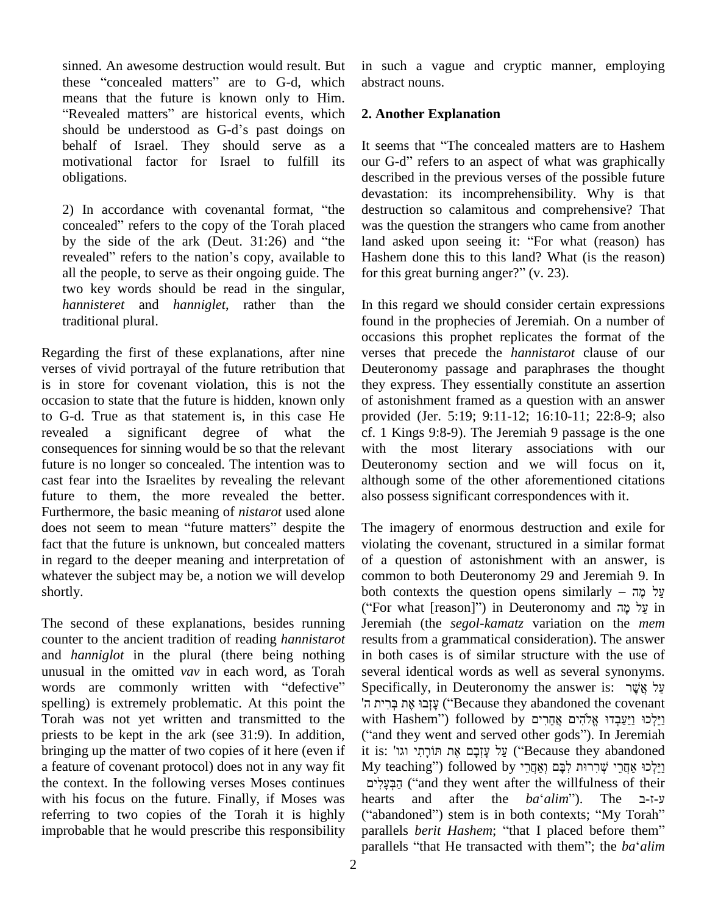sinned. An awesome destruction would result. But sinned. An awesome destruction would result. But in sue<br>these "concealed matters" are to G-d, which abstract these "concealed matters" are to G-d, which almeans that the future is known only to Him. nese "concealed matters" are to G-d, which abstrace<br>neans that the future is known only to Him.<br>Revealed matters" are historical events, which 2. And means that the future is known only to Him.<br>
"Revealed matters" are historical events, which 2. Anoshould be understood as G-d's past doings on motivational factor for Israel to fulfill its obligations. descreed<br>2) In accordance with covenantal format, "the destr

devast<br>2) In accordance with covenantal format, "the destru<br>concealed" refers to the copy of the Torah placed was the 2) In accordance with covenantal format, "the destroncealed" refers to the copy of the Torah placed was t<br>by the side of the ark (Deut. 31:26) and "the land concealed" refers to the copy of the Torah placed<br>by the side of the ark (Deut. 31:26) and "the<br>revealed" refers to the nation's copy, available to all the people, to serve as their ongoing guide. The for this great burning anger?"  $(v, 23)$ . two key words should be read in the singular, *hannisteret* and *hanniglet*, rather than the traditional plural.

Regarding the first of these explanations, after nine verses of vivid portrayal of the future retribution that is in store for covenant violation, this is not the occasion to state that the future is hidden, known only to G-d. True as that statement is, in this case He revealed a significant degree of what the consequences for sinning would be so that the relevant future is no longer so concealed. The intention was to cast fear into the Israelites by revealing the relevant future to them, the more revealed the better. Furthermore, the basic meaning of *nistarot* used alone future to them, the more revealed the better. also p<br>Furthermore, the basic meaning of *nistarot* used alone<br>does not seem to mean "future matters" despite the The fact that the future is unknown, but concealed matters in regard to the deeper meaning and interpretation of whatever the subject may be, a notion we will develop shortly.

The second of these explanations, besides running counter to the ancient tradition of reading *hannistarot* and *hanniglot* in the plural (there being nothing in bot<br>unusual in the omitted vav in each word, as Torah severa<br>words are commonly written with "defective" Specif unusual in the omitted *vav* in each word, as Torah spelling) is extremely problematic. At this point the Torah was not yet written and transmitted to the priests to be kept in the ark (see 31:9). In addition, bringing up the matter of two copies of it here (even if a feature of covenant protocol) does not in any way fit the context. In the following verses Moses continues with his focus on the future. Finally, if Moses was hearts referring to two copies of the Torah it is highly ("abandoned") stem is in both contexts; "My Torah" improbable that he would prescribe this responsibility

in such a vague and cryptic manner, employing abstract nouns.

# **2. Another Explanation**

behalf of Israel. They should serve as a It seems that "The concealed matters are to Hashem motivational factor for Israel to fulfill its our G-d" refers to an aspect of what was graphically 2. Another Explanation<br>It seems that "The concealed matters are to Hashem It seems that "The concealed matters are to Hashem<br>our G-d" refers to an aspect of what was graphically described in the previous verses of the possible future devastation: its incomprehensibility. Why is that destruction so calamitous and comprehensive? That was the question the strangers who came from another land asked upon seeing it: "For what (reason) has was the question the strangers who came from another Hashem done this to this land? What (is the reason) land asked upon seeing it: "For what (reason) has

> In this regard we should consider certain expressions found in the prophecies of Jeremiah. On a number of occasions this prophet replicates the format of the verses that precede the *hannistarot* clause of our Deuteronomy passage and paraphrases the thought they express. They essentially constitute an assertion of astonishment framed as a question with an answer provided (Jer. 5:19; 9:11-12; 16:10-11; 22:8-9; also cf. 1 Kings 9:8-9). The Jeremiah 9 passage is the one with the most literary associations with our Deuteronomy section and we will focus on it, although some of the other aforementioned citations also possess significant correspondences with it.

The imagery of enormous destruction and exile for violating the covenant, structured in a similar format of a question of astonishment with an answer, is<br>common to both Deuteronomy 29 and Jeremiah 9. In<br> $\frac{1}{2}$  which contexts the question opens similarly – עֲל מֶה common to both Deuteronomy 29 and Jeremiah 9. In<br>http://what guestion opens similarly – עֲל מֶה<br>(if in Deuteronomy and עֲל מָה in Deuteronomy and עֲל מָה Jeremiah (the *segol-kamatz* variation on the *mem* results from a grammatical consideration). The answer in both cases is of similar structure with the use of several identical words as well as several synonyms. in both cases is of similar structure with the use of several identical words as well as several synonyms.<br>Specifically, in Deuteronomy the answer is: עַל אֲשֶׂר Į several identical words as well as several synonyms.<br>Specifically, in Deuteronomy the answer is: שֲלָ אֲשֶׁר אֲת בְּרִית ה<br>עֲזְבוּ אֶת בְּרִית ה (Because they abandoned the covenant Specifically, in Deuteronomy the answer is: עֲלִ אֲשֶׁר<br>יָשְׁבוּ אֶת בְּרִית ה ְשֻׁבִּוּ אֶת בְּרִית ה ְׂיִ 'Because they abandoned the covenant with Hashem'') followed by 'ֹעֲזְבוּ אֶת בְּרִית ה (''Because they abandoned the covenant with Hashem'') followed by<br>וַיֵּלְכוּ וַיַּעֲבְדוּ אֱלֹהִים אֲחֵרִים followed by וַיֵּלְכוּ וַיַּעֲבְדוּ אֱלֹהִים אֲחֵרִים (''and they went and served other g with Hashem") followed אַחֲרִים אֲחֵרִים אֲחַרִים ("and they went and served other gods"). In Jeremiah<br>("and they went and served other gods"). In Jeremiah<br>it is: על עֲזְבָם אֶת תּוֹרָתִי וגו' ("Because they abandoned") ("and they went and served other gods"). In Jeremiah it is: 'וורתי וגו' ("Because they abandoned ַעֲל עָזְבָם אֶת תּוֹרָתִי ("Because they abandoned ) שֵׁל עָזְבָם אֶת תּוֹרָתִי (followed by יַיֵּלְכוּ אַחֲרֵי<br>וַיֵּלְכוּ אַחֲרֵי שְׁרִרוּת לִבָּם וְאַחֲרֵי ("and they went after the willfulness of their hearts היי הובל הודרי הודי הודרית הודרות לעבר משתלי ("and they went after the willfulness of their הַבְּעָלִים<br>עֲרוּב ("and they went after the willfulness of their hearts and after the *baʿalim* הַבְּעָלִים ("and they went after the willfulness of their nearts and after the  $ba^{\prime}$ alim"). The  $\Box$ hearts and after the *ba'alim*"). The **1-1-y**<br>("abandoned") stem is in both contexts; "My Torah"<br>parallels *berit Hashem*; "that I placed before them" ("abandoned") stem is in both contexts; "My Torah" parallels *berit Hashem*; "that I placed before them" parallels "that He transacted with them"; the *ba* '*alim*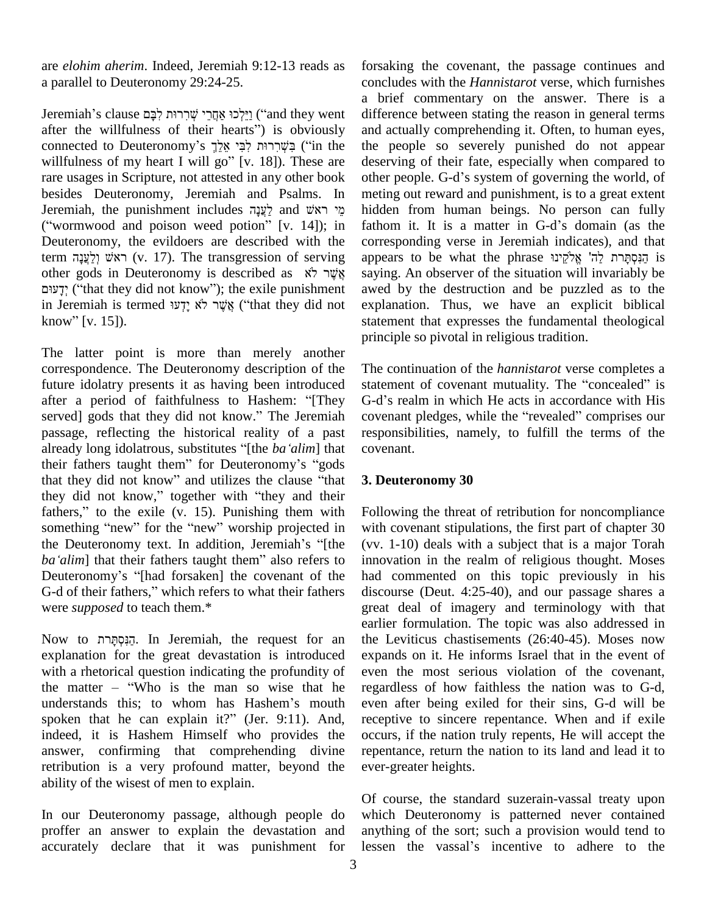are *elohim aherim*. Indeed, Jeremiah 9:12-13 reads as a parallel to Deuteronomy 29:24-25. a parallel to Deuteronomy 29:24-25.<br>a<br>Jeremiah's clause יָאֲרָרוּת לְבָּם אֲחֲרֵי שְׁרִרוּת לְבָּם (iand they went di

a brie<br>"בְּיִלְכוּ אַחֲרֵי שְׁרִרוּת לִבָּם Jeremiah's clause<br>"after the willfulness of their hearts") is obviously and ac יַיִּלְכוּ אֲחֲרֵי שְׁרִרוּת לְבָּם ("and they went differ after the willfulness of their hearts") is obviously<br>and a connected to Deuteronomy's לְבִּי אֱלֵךְ ("in the the after the willfulness of their hearts") is obviously<br>connected to Deuteronomy's בְּשֶׁרָרוּת לְכָּי אֱלֵךְ ("in the<br>willfulness of my heart I will go" [v. 18]). These are rare usages in Scripture, not attested in any other book other people. G-d's system of governing the world, of besides Deuteronomy, Jeremiah and Psalms. In Jeremiah, the punishment includes  $\zeta$ ֹאֲנָה and  $\zeta$ ֹא and  $\zeta$ besides Deuteronomy, Jeremiah and Psalms. In meting<br>Jeremiah, the punishment includes לַעֲנָה and viver midder<br>("wormwood and poison weed potion" [v. 14]); in fathon Deuteronomy, the evildoers are described with the corre<br>term ויא לְצְעָה (v. 17). The transgression of serving appear<br>other gods in Deuteronomy is described as  $\dot{x}$ אָר לֹא term wood and poison weed potion" [v. 14]); in fathon<br>Deuteronomy, the evildoers are described with the corres<br>term ראשׁ וַלְעֲנָה (v. 17). The transgression of serving appear ראשׁ וְלַעֲנָה (v. 17). The transgression of serving ap gods in Deuteronomy is described as  $\frac{x}{y}$   $\frac{y}{y}$  sa ("that they did not know"); the exile punishment av other gods in Deuteronomy is described as  $\aleph$ אָ ְ $\frac{1}{2}$  sa say ("that they did not know"); the exile punishment av<br>in Jeremiah is termed אֲשֶׁר לֹא יָדְעוּ ("that they did not ex דָעוּם; ("that they did<br>in Jeremiah is term<br>know" [v. 15]).

The latter point is more than merely another correspondence. The Deuteronomy description of the The continuity presents it as having been introduced statem after a period of faithfulness to Hashem: "[They G-d's future idolatry presents it as having been introduced after a period of faithfulness to Hashem: "[They G-d's realm in which He acts in accordance with His served] gods that they did not know." The Jeremiah covenant pledges, while the "revealed" comprises our passage, reflecting the historical reality of a past alleady long idolator and they did not know." The Jeremiah correspondence passage, reflecting the historical reality of a past realizedy long idolatrous, substitutes "[the *ba* 'alim] that co passage, reflecting the historical reality of a past resp<br>already long idolatrous, substitutes "[the ba 'alim] that cove<br>their fathers taught them" for Deuteronomy's "gods already long idolatrous, substitutes "[the *ba 'alim*] that complete their fathers taught them" for Deuteronomy's "gods that they did not know" and utilizes the clause "that 3. their fathers taught them" for Deuteronomy's "gods<br>that they did not know," and utilizes the clause "that 3.1<br>they did not know," together with "they and their that they did not know" and utilizes the clause "that they did not know," together with "they and their they did not know," together with "they and their<br>fathers," to the exile (v. 15). Punishing them with Follov<br>something "new" for the "new" worship projected in with c fathers," to the exile (v. 15). Punishing them with Follo something "new" for the "new" worship projected in with the Deuteronomy text. In addition, Jeremiah's "[the (vv. something "new" for the "new" worship projected in with c<br>the Deuteronomy text. In addition, Jeremiah's "[the (vv. 1<br>ba 'alim] that their fathers taught them" also refers to innova the Deuteronomy text. In addition, Jeremiah's "[the (vv. *ba'alim*] that their fathers taught them" also refers to innov<br>Deuteronomy's "[had forsaken] the covenant of the had ba'alim] that their fathers taught them" also refers to inno<br>Deuteronomy's "[had forsaken] the covenant of the had<br>G-d of their fathers," which refers to what their fathers disc were *supposed* to teach them.\*

Now to ʺʸˢʕʱʍʑ˚ʤʔ. In Jeremiah, the request for an explanation for the great devastation is introduced expandied with a rhetorical question indicating the profundity of even the matter – "Who is the man so wise that he regard with a rhetorical question indicating the profundity of the matter  $-$  "Who is the man so wise that he understands this; to whom has Hashem's mouth spoken that he can explain it?" (Jer. 9:11). And, indeed, it is Hashem Himself who provides the answer, confirming that comprehending divine retribution is a very profound matter, beyond the ability of the wisest of men to explain.

In our Deuteronomy passage, although people do proffer an answer to explain the devastation and accurately declare that it was punishment for lessen the vassal's incentive to adhere to the

forsaking the covenant, the passage continues and concludes with the *Hannistarot* verse, which furnishes a brief commentary on the answer. There is a difference between stating the reason in general terms and actually comprehending it. Often, to human eyes, the people so severely punished do not appear<br>deserving of their fate, especially when compared to<br>other people. G-d's system of governing the world, of deserving of their fate, especially when compared to meting out reward and punishment, is to a great extent hidden from human beings. No person can fully meting out reward and punishment, is to a great extent<br>hidden from human beings. No person can fully<br>fathom it. It is a matter in G-d's domain (as the corresponding verse in Jeremiah indicates), and that fathom it. It is a matter in G-d's domain (as the corresponding verse in Jeremiah indicates), and that appears to be what the phrase הַנְסְתָּרֹת לֵה' אֱלֹקֱינוּ fathom it. It is a matter in G-d's domain (as the saying. An observer of the situation will invariably be awed by the destruction and be puzzled as to the explanation. Thus, we have an explicit biblical statement that expresses the fundamental theological principle so pivotal in religious tradition.

The continuation of the *hannistarot* verse completes a The continuation of the *hannistarot* verse completes a statement of covenant mutuality. The "concealed" is The continuation of the *hannistarot* verse completes a statement of covenant mutuality. The "concealed" is G-d's realm in which He acts in accordance with His statement of covenant mutuality. The "concealed" is<br>G-d's realm in which He acts in accordance with His<br>covenant pledges, while the "revealed" comprises our responsibilities, namely, to fulfill the terms of the covenant.

## **3. Deuteronomy 30**

Following the threat of retribution for noncompliance with covenant stipulations, the first part of chapter 30 (vv. 1-10) deals with a subject that is a major Torah innovation in the realm of religious thought. Moses had commented on this topic previously in his discourse (Deut. 4:25-40), and our passage shares a great deal of imagery and terminology with that earlier formulation. The topic was also addressed in the Leviticus chastisements (26:40-45). Moses now expands on it. He informs Israel that in the event of even the most serious violation of the covenant, regardless of how faithless the nation was to G-d, even after being exiled for their sins, G-d will be receptive to sincere repentance. When and if exile occurs, if the nation truly repents, He will accept the repentance, return the nation to its land and lead it to ever-greater heights.

Of course, the standard suzerain-vassal treaty upon which Deuteronomy is patterned never contained<br>anything of the sort; such a provision would tend to<br>lessen the vassal's incentive to adhere to the anything of the sort; such a provision would tend to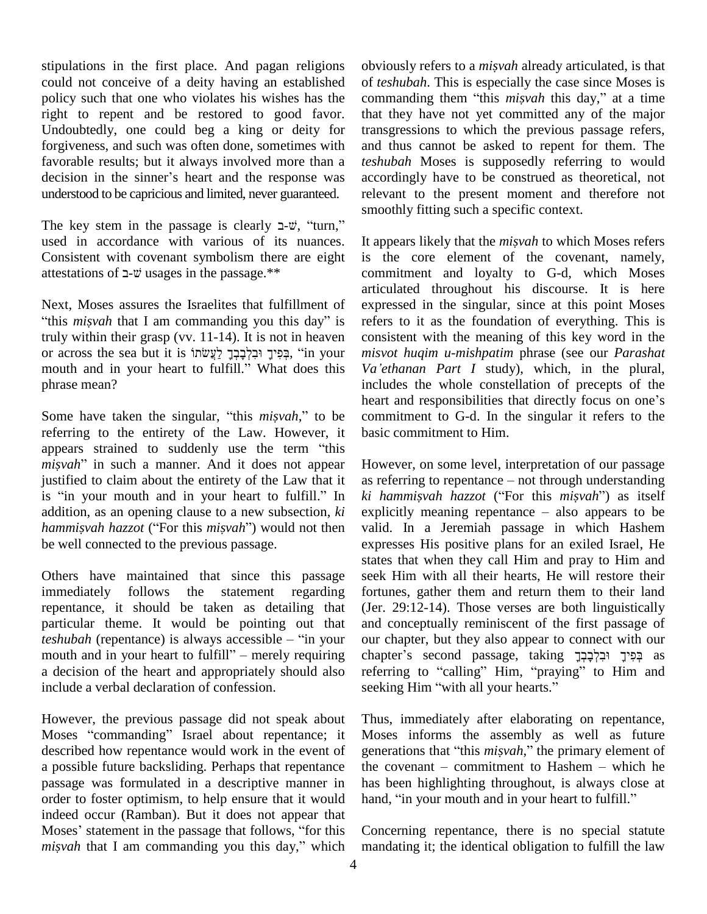stipulations in the first place. And pagan religions could not conceive of a deity having an established policy such that one who violates his wishes has the right to repent and be restored to good favor. Undoubtedly, one could beg a king or deity for forgiveness, and such was often done, sometimes with and the favorable results; but it always involved more than a *teshub* decision in the sinner's heart and the response was accord favorable results; but it always involved more than a understood to be capricious and limited, never guaranteed. relev<br>smochrise smochronic smochronic stearly  $\exists$ - $\psi$ , <sup>2</sup>turn,<sup>??</sup>

used in accordance with various of its nuances. Consistent with covenant symbolism there are eight used in accordance with various of its nuance<br>Consistent with covenant symbolism there are eig<br>attestations of  $\exists$ - $\psi$  usages in the passage.\*\*

next, Moses assures the Israelites that fulfillment of expression and the Israelites that fulfillment of expression and the *misyah* that I am commanding you this day" is refer truly within their grasp (vv. 11-14). It is not in heaven "this *misyah* that I am commanding you this day" is referruly within their grasp (vv. 11-14). It is not in heaven<br>or across the sea but it is יְבִּלְבָךְ לַעֲשׂמוֹ; יִבְלְבָרָךְ (in your *mis* fruly within their grasp (vv. 11-14). It is not in heaven<br>or across the sea but it is בְּפִיךָ וּבִלְבָבֶךָ לַעֲשׂתוֹ<br>mouth and in your heart to fulfill." What does this Va'e phrase mean?

referring to the entirety of the Law. However, it Some have taken the singular, "this *misvah*," to be commetering to the entirety of the Law. However, it basic appears strained to suddenly use the term "this referring to the entirety of the Law. However, it based appears strained to suddenly use the term "this misyah" in such a manner. And it does not appear Ho justified to claim about the entirety of the Law that it misvah" in such a manner. And it does not appear However, on some level, interpretation of our passage justified to claim about the entirety of the Law that it as referring to repentance – not through understanding is "in addition, as an opening clause to a new subsection, *ki hammisvah hazzot* ("For this *misvah*") would not then *hammisvah hazzot* ("For this *misvah*") would not then be well connected to the previous passage.

Others have maintained that since this passage immediately follows the statement regarding repentance, it should be taken as detailing that particular theme. It would be pointing out that repentance, it should be taken as detailing that (Jen particular theme. It would be pointing out that and *teshubah* (repentance) is always accessible – "in your our particular theme. It would be pointing out that and conteshible to fulfill" in your cheap with and in your heart to fulfill" – merely requiring chapter a decision of the heart and appropriately should also include a verbal declaration of confession.

However, the previous passage did not speak about Moses "commanding" Israel about repentance; it described how repentance would work in the event of a possible future backsliding. Perhaps that repentance passage was formulated in a descriptive manner in order to foster optimism, to help ensure that it would hand, "in your mouth and in your heart to fulfill." indeed occur (Ramban). But it does not appear that Moses' statement in the passage that follows, "for this *misvah* that I am commanding you this day," which

obviously refers to <sup>a</sup> *misvah* already articulated, is that of *teshubah*. This is especially the case since Moses is commanding them "this *misvah* this day," at a time that they have not yet committed any of the major transgressions to which the previous passage refers, and thus cannot be asked to repent for them. The *teshubah* Moses is supposedly referring to would accordingly have to be construed as theoretical, not relevant to the present moment and therefore not smoothly fitting such a specific context.

Some have taken the singular, "this *misvah*," to be commitment to G-d. In the singular it refers to the It appears likely that the *misvah* to which Moses refers is the core element of the covenant, namely, commitment and loyalty to G-d, which Moses articulated throughout his discourse. It is here expressed in the singular, since at this point Moses refers to it as the foundation of everything. This is consistent with the meaning of this key word in the *misvot huqim u-mishpatim* phrase (see our *Parashat Va'ethanan Part I* study), which, in the plural, *misvot huqim u-mishpatim* phrase (see our *Parashat* includes the whole constellation of precepts of the Va'ethanan Part I study), which, in the plural, includes the whole constellation of precepts of the heart and responsibilities that directly focus on one's commitment to G-d. In the singular it refers to the basic commitment to Him.

> However, on some level, interpretation of our passage However, on some level, interpretation of our passage<br>as referring to repentance – not through understanding *However, on some level, interpretation of our passage as referring to repentance – not through understanding ki hammis<i>vah hazzot* ("For this *misvah*") as itself as referring to repentance – not through understanding<br>*ki hammisvah hazzot* ("For this *misvah*") as itself<br>explicitly meaning repentance – also appears to be valid. In a Jeremiah passage in which Hashem expresses His positive plans for an exiled Israel, He states that when they call Him and pray to Him and seek Him with all their hearts, He will restore their fortunes, gather them and return them to their land (Jer. 29:12-14). Those verses are both linguistically and conceptually reminiscent of the first passage of our chapter, but they also appear to connect with our and conceptually reminiscent of the first passage of<br>our chapter, but they also appear to connect with our<br>chapter's second passage, taking יְבִּלְךָ וּבִלְכָּבָךָ our chapter, but they also appear to connect with our<br>chapter's second passage, taking בְּפִיךָ וּבְלְבָבְךָ<br>referring to "calling" Him, "praying" to Him and chapter's second passage, taking יְלְבָבְךָ<br>referring to "calling" Him, "praying" to<br>seeking Him "with all your hearts."

Thus, immediately after elaborating on repentance, Moses informs the assembly as well as future generations that "this *misvah*," the primary element of the covenant  $-$  commitment to Hashem  $-$  which he has been highlighting throughout, is always close at the covenant – commitment to Hashem – which he<br>has been highlighting throughout, is always close at<br>hand, "in your mouth and in your heart to fulfill."

Concerning repentance, there is no special statute mandating it; the identical obligation to fulfill the law